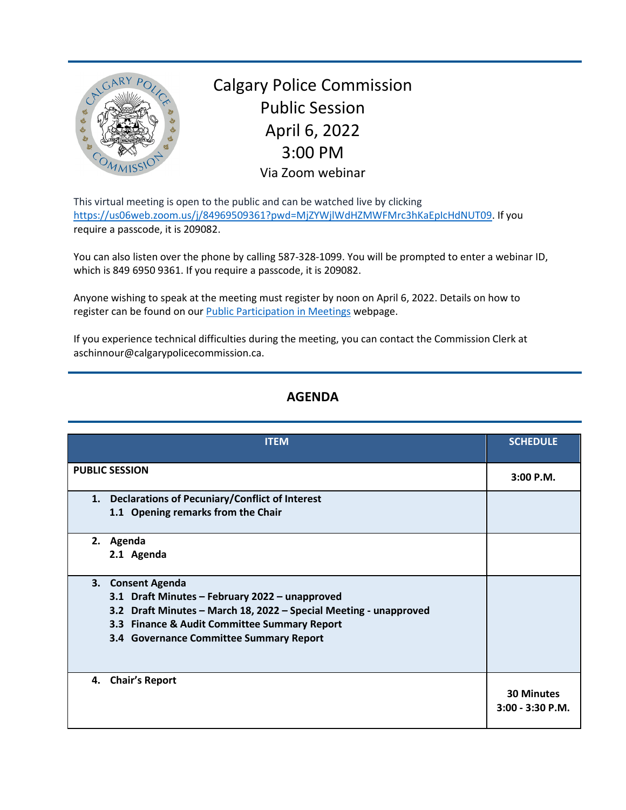

Calgary Police Commission Public Session April 6, 2022 3:00 PM Via Zoom webinar

This virtual meeting is open to the public and can be watched live by clicking [https://us06web.zoom.us/j/84969509361?pwd=MjZYWjlWdHZMWFMrc3hKaEpIcHdNUT09.](https://us06web.zoom.us/j/84969509361?pwd=MjZYWjlWdHZMWFMrc3hKaEpIcHdNUT09) If you require a passcode, it is 209082.

You can also listen over the phone by calling 587-328-1099. You will be prompted to enter a webinar ID, which is 849 6950 9361. If you require a passcode, it is 209082.

Anyone wishing to speak at the meeting must register by noon on April 6, 2022. Details on how to register can be found on our [Public Participation in Meetings](https://www.calgarypolicecommission.ca/public-participation-in-meetings/) webpage.

If you experience technical difficulties during the meeting, you can contact the Commission Clerk at aschinnour@calgarypolicecommission.ca.

## **AGENDA**

| <b>ITEM</b>                                                                                                                                                                                                                         | <b>SCHEDULE</b>                         |
|-------------------------------------------------------------------------------------------------------------------------------------------------------------------------------------------------------------------------------------|-----------------------------------------|
| <b>PUBLIC SESSION</b>                                                                                                                                                                                                               | 3:00 P.M.                               |
| 1. Declarations of Pecuniary/Conflict of Interest<br>1.1 Opening remarks from the Chair                                                                                                                                             |                                         |
| 2. Agenda<br>2.1 Agenda                                                                                                                                                                                                             |                                         |
| 3. Consent Agenda<br>3.1 Draft Minutes - February 2022 - unapproved<br>3.2 Draft Minutes - March 18, 2022 - Special Meeting - unapproved<br>3.3 Finance & Audit Committee Summary Report<br>3.4 Governance Committee Summary Report |                                         |
| 4. Chair's Report                                                                                                                                                                                                                   | <b>30 Minutes</b><br>$3:00 - 3:30$ P.M. |